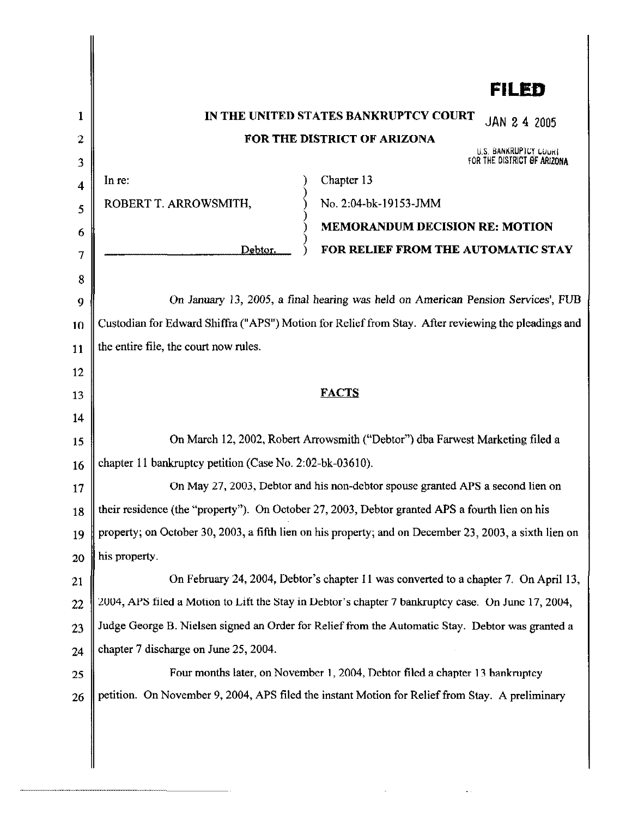|                                           | FILED                                                                                                                                                                                                                                                                                                                                                                                                |
|-------------------------------------------|------------------------------------------------------------------------------------------------------------------------------------------------------------------------------------------------------------------------------------------------------------------------------------------------------------------------------------------------------------------------------------------------------|
| 1<br>2<br>3<br>4<br>5<br>6<br>7<br>8<br>9 | IN THE UNITED STATES BANKRUPTCY COURT<br>JAN 2 4 2005<br>FOR THE DISTRICT OF ARIZONA<br>U.S. BANKRUPTCY COURT<br>FOR THE DISTRICT OF ARIZONA<br>Chapter 13<br>In re:<br>No. 2:04-bk-19153-JMM<br>ROBERT T. ARROWSMITH,<br><b>MEMORANDUM DECISION RE: MOTION</b><br>FOR RELIEF FROM THE AUTOMATIC STAY<br>Debtor.<br>On January 13, 2005, a final hearing was held on American Pension Services', FUB |
| 10                                        | Custodian for Edward Shiffra ("APS") Motion for Relief from Stay. After reviewing the pleadings and                                                                                                                                                                                                                                                                                                  |
| 11                                        | the entire file, the court now rules.                                                                                                                                                                                                                                                                                                                                                                |
| 12                                        | <b>FACTS</b>                                                                                                                                                                                                                                                                                                                                                                                         |
| 13<br>14                                  |                                                                                                                                                                                                                                                                                                                                                                                                      |
| 15                                        | On March 12, 2002, Robert Arrowsmith ("Debtor") dba Farwest Marketing filed a                                                                                                                                                                                                                                                                                                                        |
| 16                                        | chapter 11 bankruptcy petition (Case No. 2:02-bk-03610).                                                                                                                                                                                                                                                                                                                                             |
| 17                                        | On May 27, 2003, Debtor and his non-debtor spouse granted APS a second lien on                                                                                                                                                                                                                                                                                                                       |
| 18                                        | their residence (the "property"). On October 27, 2003, Debtor granted APS a fourth lien on his                                                                                                                                                                                                                                                                                                       |
| 19                                        | property; on October 30, 2003, a fifth lien on his property; and on December 23, 2003, a sixth lien on                                                                                                                                                                                                                                                                                               |
| 20                                        | his property.                                                                                                                                                                                                                                                                                                                                                                                        |
| 21                                        | On February 24, 2004, Debtor's chapter 11 was converted to a chapter 7. On April 13,                                                                                                                                                                                                                                                                                                                 |
| 22                                        | 2004, APS filed a Motion to Lift the Stay in Debtor's chapter 7 bankruptcy case. On June 17, 2004,                                                                                                                                                                                                                                                                                                   |
| 23                                        | Judge George B. Nielsen signed an Order for Relief from the Automatic Stay. Debtor was granted a                                                                                                                                                                                                                                                                                                     |
| 24                                        | chapter 7 discharge on June 25, 2004.                                                                                                                                                                                                                                                                                                                                                                |
| 25                                        | Four months later, on November 1, 2004, Debtor filed a chapter 13 bankruptcy                                                                                                                                                                                                                                                                                                                         |
| 26                                        | petition. On November 9, 2004, APS filed the instant Motion for Relief from Stay. A preliminary                                                                                                                                                                                                                                                                                                      |
|                                           |                                                                                                                                                                                                                                                                                                                                                                                                      |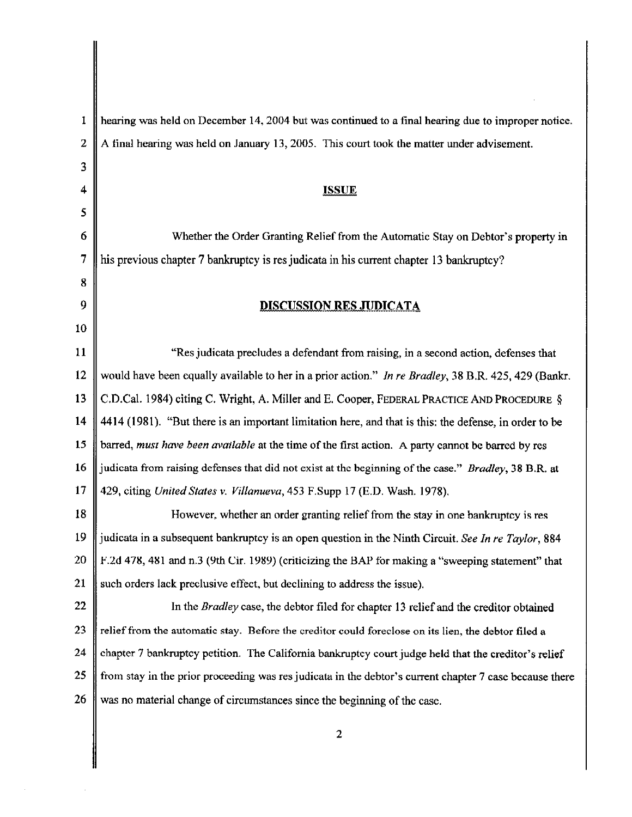| 1                       | hearing was held on December 14, 2004 but was continued to a final hearing due to improper notice.      |
|-------------------------|---------------------------------------------------------------------------------------------------------|
| $\overline{\mathbf{z}}$ | A final hearing was held on January 13, 2005. This court took the matter under advisement.              |
| 3                       |                                                                                                         |
| 4                       | <b>ISSUE</b>                                                                                            |
| 5                       |                                                                                                         |
| 6                       | Whether the Order Granting Relief from the Automatic Stay on Debtor's property in                       |
| 7                       | his previous chapter 7 bankruptcy is res judicata in his current chapter 13 bankruptcy?                 |
| 8                       |                                                                                                         |
| 9                       | <u>DISCUSSION RES JUDICATA</u>                                                                          |
| 10                      |                                                                                                         |
| <sup>11</sup>           | "Res judicata precludes a defendant from raising, in a second action, defenses that                     |
| 12                      | would have been equally available to her in a prior action." In re Bradley, 38 B.R. 425, 429 (Bankr.    |
| 13                      | C.D.Cal. 1984) citing C. Wright, A. Miller and E. Cooper, FEDERAL PRACTICE AND PROCEDURE §              |
| 14                      | 4414 (1981). "But there is an important limitation here, and that is this: the defense, in order to be  |
| 15                      | barred, must have been available at the time of the first action. A party cannot be barred by res       |
| 16                      | judicata from raising defenses that did not exist at the beginning of the case." Bradley, 38 B.R. at    |
| 17                      | 429, citing United States v. Villanueva, 453 F.Supp 17 (E.D. Wash. 1978).                               |
| 18                      | However, whether an order granting relief from the stay in one bankruptcy is res                        |
| 19                      | judicata in a subsequent bankruptcy is an open question in the Ninth Circuit. See In re Taylor, 884     |
| 20                      | F.2d 478, 481 and n.3 (9th Cir. 1989) (criticizing the BAP for making a "sweeping statement" that       |
| 21                      | such orders lack preclusive effect, but declining to address the issue).                                |
| 22                      | In the Bradley case, the debtor filed for chapter 13 relief and the creditor obtained                   |
| 23                      | relief from the automatic stay. Before the creditor could foreclose on its lien, the debtor filed a     |
| 24                      | chapter 7 bankruptcy petition. The California bankruptcy court judge held that the creditor's relief    |
| 25                      | from stay in the prior proceeding was res judicata in the debtor's current chapter 7 case because there |
| 26                      | was no material change of circumstances since the beginning of the case.                                |
|                         |                                                                                                         |

J,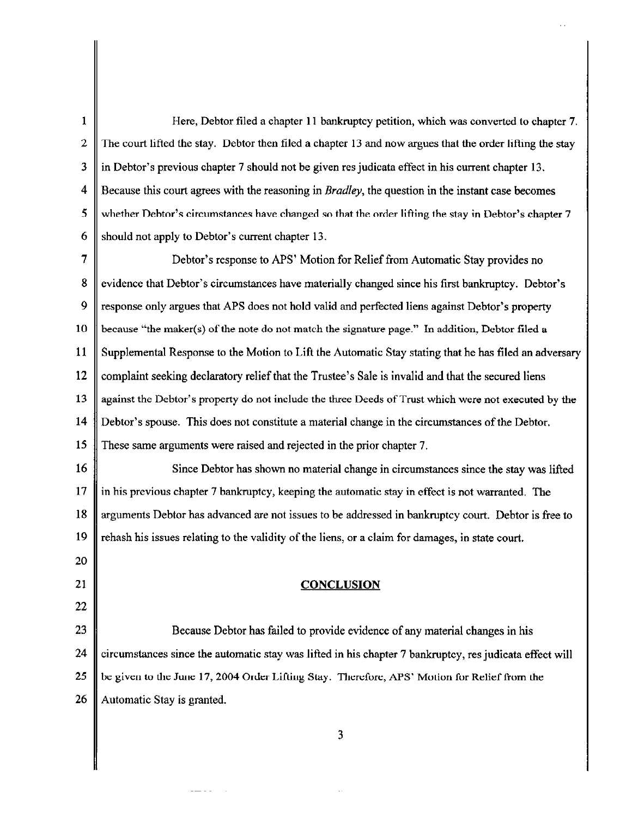| 1                | Here, Debtor filed a chapter 11 bankruptcy petition, which was converted to chapter 7.                    |
|------------------|-----------------------------------------------------------------------------------------------------------|
| $\boldsymbol{2}$ | The court lifted the stay. Debtor then filed a chapter 13 and now argues that the order lifting the stay  |
| 3                | in Debtor's previous chapter 7 should not be given res judicata effect in his current chapter 13.         |
| 4                | Because this court agrees with the reasoning in <i>Bradley</i> , the question in the instant case becomes |
| 5                | whether Debtor's circumstances have changed so that the order lifting the stay in Debtor's chapter 7      |
| 6                | should not apply to Debtor's current chapter 13.                                                          |
| 7                | Debtor's response to APS' Motion for Relief from Automatic Stay provides no                               |
| 8                | evidence that Debtor's circumstances have materially changed since his first bankruptcy. Debtor's         |
| 9                | response only argues that APS does not hold valid and perfected liens against Debtor's property           |
| 10               | because "the maker(s) of the note do not match the signature page." In addition, Debtor filed a           |
| 11               | Supplemental Response to the Motion to Lift the Automatic Stay stating that he has filed an adversary     |
| 12               | complaint seeking declaratory relief that the Trustee's Sale is invalid and that the secured liens        |
| 13               | against the Debtor's property do not include the three Deeds of Trust which were not executed by the      |
| 14               | Debtor's spouse. This does not constitute a material change in the circumstances of the Debtor.           |
| 15               | These same arguments were raised and rejected in the prior chapter 7.                                     |
| 16               | Since Debtor has shown no material change in circumstances since the stay was lifted                      |
| 17               | in his previous chapter 7 bankruptcy, keeping the automatic stay in effect is not warranted. The          |
| 18               | arguments Debtor has advanced are not issues to be addressed in bankruptcy court. Debtor is free to       |
| 19               | rehash his issues relating to the validity of the liens, or a claim for damages, in state court.          |
| 20               |                                                                                                           |
| 21               | <b>CONCLUSION</b>                                                                                         |
| 22               |                                                                                                           |
| 23               | Because Debtor has failed to provide evidence of any material changes in his                              |
| 24               | circumstances since the automatic stay was lifted in his chapter 7 bankruptcy, res judicata effect will   |
| 25               | be given to the June 17, 2004 Order Lifting Stay. Therefore, APS' Motion for Relief from the              |
| 26               | Automatic Stay is granted.                                                                                |
|                  |                                                                                                           |

3